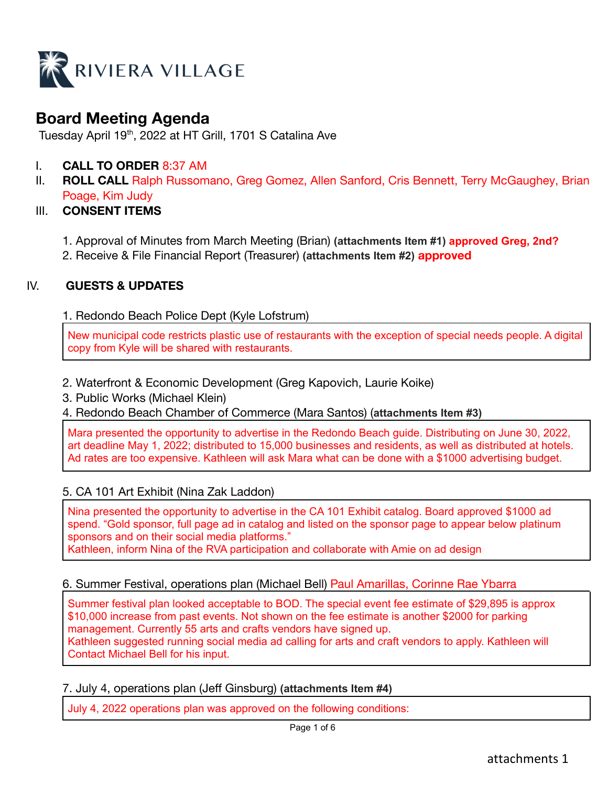

# **Board Meeting Agenda**

Tuesday April 19<sup>th</sup>, 2022 at HT Grill, 1701 S Catalina Ave

- I. **CALL TO ORDER** 8:37 AM
- II. **ROLL CALL** Ralph Russomano, Greg Gomez, Allen Sanford, Cris Bennett, Terry McGaughey, Brian Poage, Kim Judy

## III. **CONSENT ITEMS**

- 1. Approval of Minutes from March Meeting (Brian) **(attachments Item #1) approved Greg, 2nd?**
- 2. Receive & File Financial Report (Treasurer) **(attachments Item #2) approved**

## IV. **GUESTS & UPDATES**

## 1. Redondo Beach Police Dept (Kyle Lofstrum)

New municipal code restricts plastic use of restaurants with the exception of special needs people. A digital copy from Kyle will be shared with restaurants.

- 2. Waterfront & Economic Development (Greg Kapovich, Laurie Koike)
- 3. Public Works (Michael Klein)
- 4. Redondo Beach Chamber of Commerce (Mara Santos) (**attachments Item #3)**

Mara presented the opportunity to advertise in the Redondo Beach guide. Distributing on June 30, 2022, art deadline May 1, 2022; distributed to 15,000 businesses and residents, as well as distributed at hotels. Ad rates are too expensive. Kathleen will ask Mara what can be done with a \$1000 advertising budget.

## 5. CA 101 Art Exhibit (Nina Zak Laddon)

Nina presented the opportunity to advertise in the CA 101 Exhibit catalog. Board approved \$1000 ad spend. "Gold sponsor, full page ad in catalog and listed on the sponsor page to appear below platinum sponsors and on their social media platforms." Kathleen, inform Nina of the RVA participation and collaborate with Amie on ad design

## 6. Summer Festival, operations plan (Michael Bell) Paul Amarillas, Corinne Rae Ybarra

Summer festival plan looked acceptable to BOD. The special event fee estimate of \$29,895 is approx \$10,000 increase from past events. Not shown on the fee estimate is another \$2000 for parking management. Currently 55 arts and crafts vendors have signed up. Kathleen suggested running social media ad calling for arts and craft vendors to apply. Kathleen will Contact Michael Bell for his input.

7. July 4, operations plan (Jeff Ginsburg) **(attachments Item #4)**

July 4, 2022 operations plan was approved on the following conditions: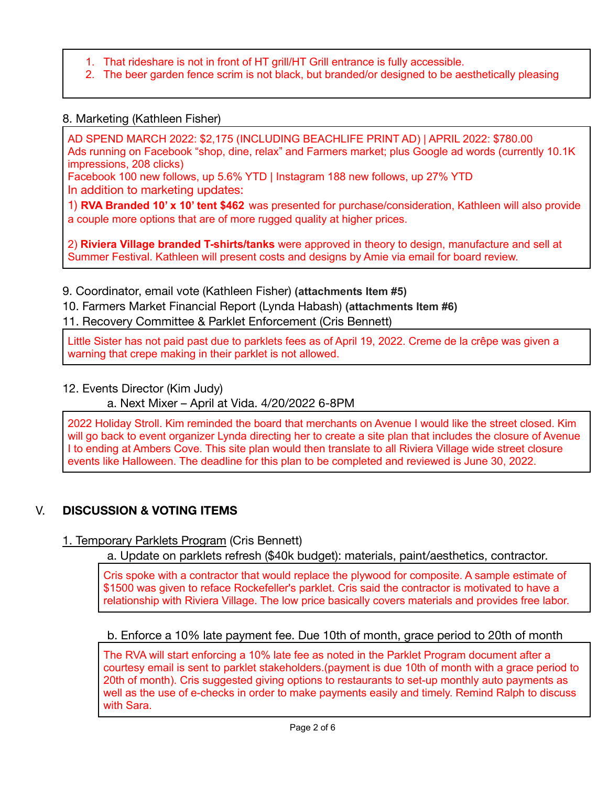- 1. That rideshare is not in front of HT grill/HT Grill entrance is fully accessible.
- 2. The beer garden fence scrim is not black, but branded/or designed to be aesthetically pleasing

## 8. Marketing (Kathleen Fisher)

AD SPEND MARCH 2022: \$2,175 (INCLUDING BEACHLIFE PRINT AD) | APRIL 2022: \$780.00 Ads running on Facebook "shop, dine, relax" and Farmers market; plus Google ad words (currently 10.1K impressions, 208 clicks)

Facebook 100 new follows, up 5.6% YTD | Instagram 188 new follows, up 27% YTD In addition to marketing updates:

1) **RVA Branded 10' x 10' tent \$462** was presented for purchase/consideration, Kathleen will also provide a couple more options that are of more rugged quality at higher prices.

2) **Riviera Village branded T-shirts/tanks** were approved in theory to design, manufacture and sell at Summer Festival. Kathleen will present costs and designs by Amie via email for board review.

9. Coordinator, email vote (Kathleen Fisher) **(attachments Item #5)**

10. Farmers Market Financial Report (Lynda Habash) **(attachments Item #6)**

11. Recovery Committee & Parklet Enforcement (Cris Bennett)

Little Sister has not paid past due to parklets fees as of April 19, 2022. Creme de la crêpe was given a warning that crepe making in their parklet is not allowed.

## 12. Events Director (Kim Judy)

a. Next Mixer – April at Vida. 4/20/2022 6-8PM

2022 Holiday Stroll. Kim reminded the board that merchants on Avenue I would like the street closed. Kim will go back to event organizer Lynda directing her to create a site plan that includes the closure of Avenue I to ending at Ambers Cove. This site plan would then translate to all Riviera Village wide street closure events like Halloween. The deadline for this plan to be completed and reviewed is June 30, 2022.

## V. **DISCUSSION & VOTING ITEMS**

1. Temporary Parklets Program (Cris Bennett)

a. Update on parklets refresh (\$40k budget): materials, paint/aesthetics, contractor.

Cris spoke with a contractor that would replace the plywood for composite. A sample estimate of \$1500 was given to reface Rockefeller's parklet. Cris said the contractor is motivated to have a relationship with Riviera Village. The low price basically covers materials and provides free labor.

## b. Enforce a 10% late payment fee. Due 10th of month, grace period to 20th of month

The RVA will start enforcing a 10% late fee as noted in the Parklet Program document after a courtesy email is sent to parklet stakeholders.(payment is due 10th of month with a grace period to 20th of month). Cris suggested giving options to restaurants to set-up monthly auto payments as well as the use of e-checks in order to make payments easily and timely. Remind Ralph to discuss with Sara.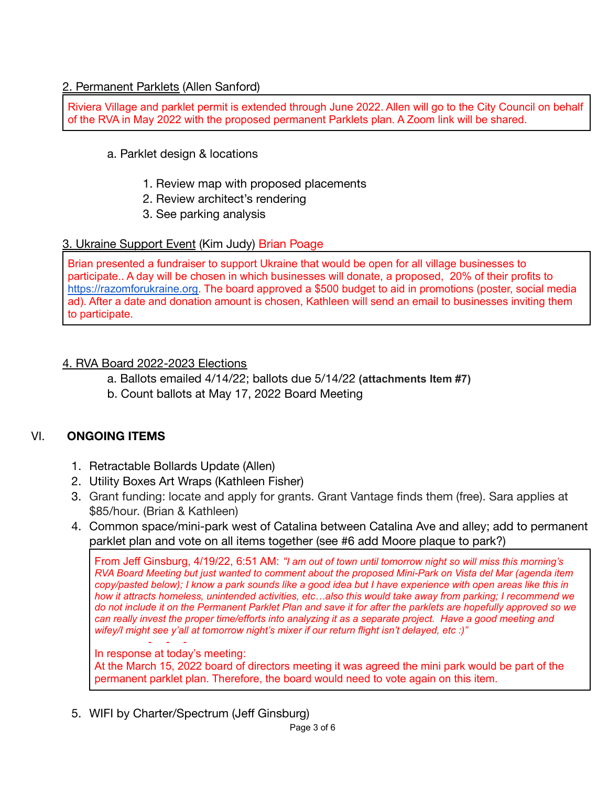## 2. Permanent Parklets (Allen Sanford)

Riviera Village and parklet permit is extended through June 2022. Allen will go to the City Council on behalf of the RVA in May 2022 with the proposed permanent Parklets plan. A Zoom link will be shared.

## a. Parklet design & locations

- 1. Review map with proposed placements
- 2. Review architect's rendering
- 3. See parking analysis

## 3. Ukraine Support Event (Kim Judy) Brian Poage

Brian presented a fundraiser to support Ukraine that would be open for all village businesses to participate.. A day will be chosen in which businesses will donate, a proposed, 20% of their profits to [https://razomforukraine.org.](https://razomforukraine.org/) The board approved a \$500 budget to aid in promotions (poster, social media ad). After a date and donation amount is chosen, Kathleen will send an email to businesses inviting them to participate.

## 4. RVA Board 2022-2023 Elections

- a. Ballots emailed 4/14/22; ballots due 5/14/22 **(attachments Item #7)**
- b. Count ballots at May 17, 2022 Board Meeting

## VI. **ONGOING ITEMS**

- 1. Retractable Bollards Update (Allen)
- 2. Utility Boxes Art Wraps (Kathleen Fisher)
- 3. Grant funding: locate and apply for grants. Grant Vantage finds them (free). Sara applies at \$85/hour. (Brian & Kathleen)
- 4. Common space/mini-park west of Catalina between Catalina Ave and alley; add to permanent parklet plan and vote on all items together (see #6 add Moore plaque to park?)

From Jeff Ginsburg, 4/19/22, 6:51 AM: *"I am out of town until tomorrow night so will miss this morning's* RVA Board Meeting but just wanted to comment about the proposed Mini-Park on Vista del Mar (agenda item copy/pasted below); I know a park sounds like a good idea but I have experience with open areas like this in *how it attracts homeless, unintended activities, etc…also this would take away from parking; I recommend we* do not include it on the Permanent Parklet Plan and save it for after the parklets are hopefully approved so we can really invest the proper time/efforts into analyzing it as a separate project. Have a good meeting and *wifey/I might see y'all at tomorrow night's mixer if our return flight isn't delayed, etc :)"*

#### *- - -* In response at today's meeting:

At the March 15, 2022 board of directors meeting it was agreed the mini park would be part of the permanent parklet plan. Therefore, the board would need to vote again on this item.

5. WIFI by Charter/Spectrum (Jeff Ginsburg)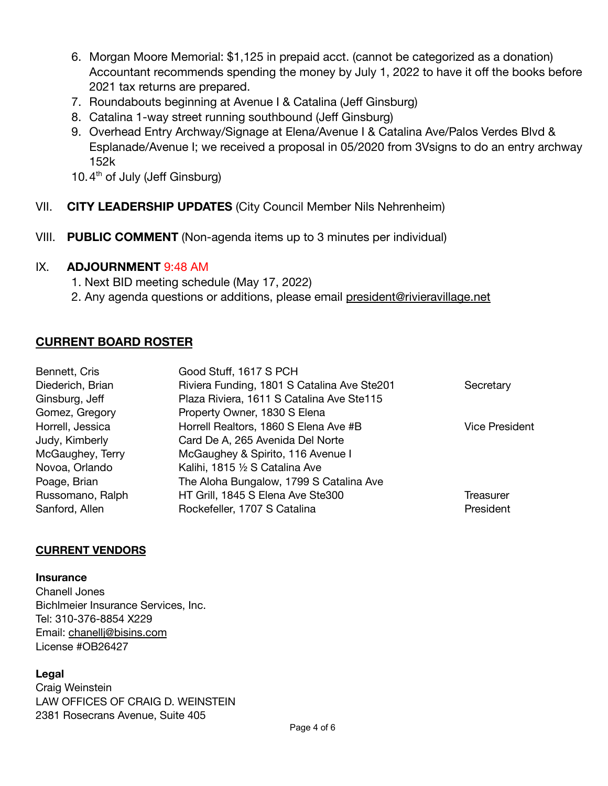- 6. Morgan Moore Memorial: \$1,125 in prepaid acct. (cannot be categorized as a donation) Accountant recommends spending the money by July 1, 2022 to have it off the books before 2021 tax returns are prepared.
- 7. Roundabouts beginning at Avenue I & Catalina (Jeff Ginsburg)
- 8. Catalina 1-way street running southbound (Jeff Ginsburg)
- 9. Overhead Entry Archway/Signage at Elena/Avenue I & Catalina Ave/Palos Verdes Blvd & Esplanade/Avenue I; we received a proposal in 05/2020 from 3Vsigns to do an entry archway 152k
- 10.4<sup>th</sup> of July (Jeff Ginsburg)
- VII. **CITY LEADERSHIP UPDATES** (City Council Member Nils Nehrenheim)
- VIII. **PUBLIC COMMENT** (Non-agenda items up to 3 minutes per individual)

## IX. **ADJOURNMENT** 9:48 AM

- 1. Next BID meeting schedule (May 17, 2022)
- 2. Any agenda questions or additions, please email [president@rivieravillage.net](mailto:president@rivieravillage.net)

## **CURRENT BOARD ROSTER**

| Bennett, Cris    | Good Stuff, 1617 S PCH                      |                       |
|------------------|---------------------------------------------|-----------------------|
| Diederich, Brian | Riviera Funding, 1801 S Catalina Ave Ste201 | Secretary             |
| Ginsburg, Jeff   | Plaza Riviera, 1611 S Catalina Ave Ste115   |                       |
| Gomez, Gregory   | Property Owner, 1830 S Elena                |                       |
| Horrell, Jessica | Horrell Realtors, 1860 S Elena Ave #B       | <b>Vice President</b> |
| Judy, Kimberly   | Card De A, 265 Avenida Del Norte            |                       |
| McGaughey, Terry | McGaughey & Spirito, 116 Avenue I           |                       |
| Novoa, Orlando   | Kalihi, 1815 1/2 S Catalina Ave             |                       |
| Poage, Brian     | The Aloha Bungalow, 1799 S Catalina Ave     |                       |
| Russomano, Ralph | HT Grill, 1845 S Elena Ave Ste300           | Treasurer             |
| Sanford, Allen   | Rockefeller, 1707 S Catalina                | President             |

## **CURRENT VENDORS**

#### **Insurance**

Chanell Jones Bichlmeier Insurance Services, Inc. Tel: 310-376-8854 X229 Email: [chanellj@bisins.com](mailto:chanellj@bisins.com) License #OB26427

## **Legal**

Craig Weinstein LAW OFFICES OF CRAIG D. WEINSTEIN 2381 Rosecrans Avenue, Suite 405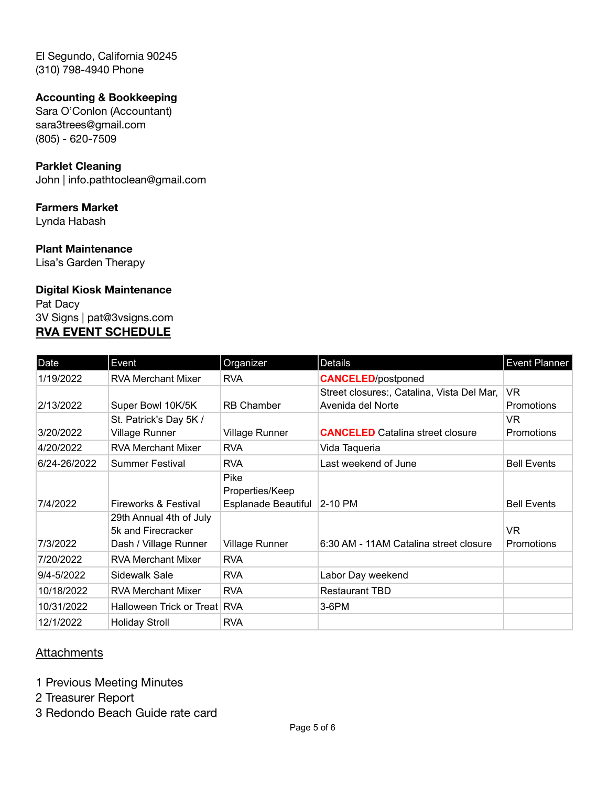El Segundo, California 90245 (310) 798-4940 Phone

## **Accounting & Bookkeeping**

Sara O'Conlon (Accountant) sara3trees@gmail.com (805) - 620-7509

### **Parklet Cleaning**

John | info.pathtoclean@gmail.com

### **Farmers Market**

Lynda Habash

#### **Plant Maintenance**

Lisa's Garden Therapy

#### **Digital Kiosk Maintenance**

Pat Dacy 3V Signs | pat@3vsigns.com **RVA EVENT SCHEDULE**

| Date         | Event                                         | Organizer               | <b>Details</b>                             | <b>Event Planner</b> |
|--------------|-----------------------------------------------|-------------------------|--------------------------------------------|----------------------|
| 1/19/2022    | <b>RVA Merchant Mixer</b>                     | <b>RVA</b>              | <b>CANCELED/postponed</b>                  |                      |
|              |                                               |                         | Street closures:, Catalina, Vista Del Mar, | VR.                  |
| 2/13/2022    | Super Bowl 10K/5K                             | <b>RB Chamber</b>       | Avenida del Norte                          | <b>Promotions</b>    |
|              | St. Patrick's Day 5K /                        |                         |                                            | VR.                  |
| 3/20/2022    | <b>Village Runner</b>                         | Village Runner          | <b>CANCELED</b> Catalina street closure    | Promotions           |
| 4/20/2022    | <b>RVA Merchant Mixer</b>                     | <b>RVA</b>              | Vida Taqueria                              |                      |
| 6/24-26/2022 | <b>Summer Festival</b>                        | <b>RVA</b>              | Last weekend of June                       | <b>Bell Events</b>   |
|              |                                               | Pike<br>Properties/Keep |                                            |                      |
| 7/4/2022     | Fireworks & Festival                          | Esplanade Beautiful     | $ 2 - 10$ PM                               | <b>Bell Events</b>   |
|              | 29th Annual 4th of July<br>5k and Firecracker |                         |                                            | VR.                  |
| 7/3/2022     | Dash / Village Runner                         | Village Runner          | 6:30 AM - 11AM Catalina street closure     | <b>Promotions</b>    |
| 7/20/2022    | <b>RVA Merchant Mixer</b>                     | <b>RVA</b>              |                                            |                      |
| 9/4-5/2022   | Sidewalk Sale                                 | <b>RVA</b>              | Labor Day weekend                          |                      |
| 10/18/2022   | <b>RVA Merchant Mixer</b>                     | <b>RVA</b>              | <b>Restaurant TBD</b>                      |                      |
| 10/31/2022   | Halloween Trick or Treat RVA                  |                         | 3-6PM                                      |                      |
| 12/1/2022    | <b>Holiday Stroll</b>                         | <b>RVA</b>              |                                            |                      |

## **Attachments**

- 1 Previous Meeting Minutes
- 2 Treasurer Report
- 3 Redondo Beach Guide rate card